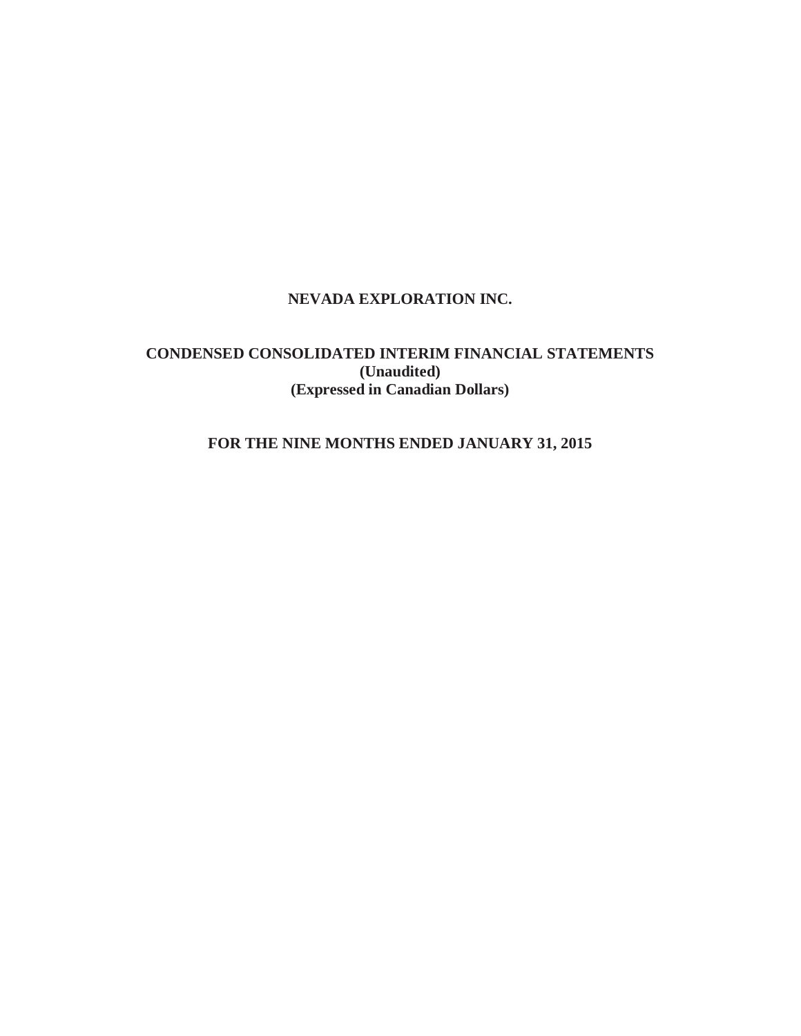# **NEVADA EXPLORATION INC.**

# **CONDENSED CONSOLIDATED INTERIM FINANCIAL STATEMENTS (Unaudited) (Expressed in Canadian Dollars)**

# **FOR THE NINE MONTHS ENDED JANUARY 31, 2015**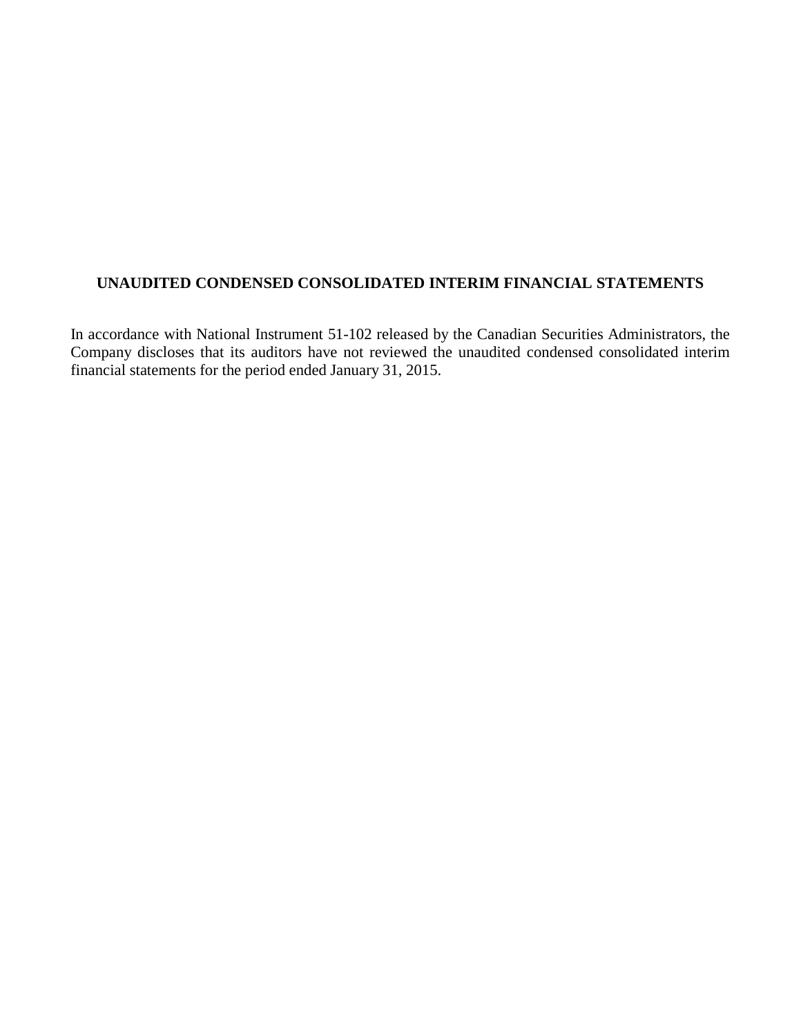# **UNAUDITED CONDENSED CONSOLIDATED INTERIM FINANCIAL STATEMENTS**

In accordance with National Instrument 51-102 released by the Canadian Securities Administrators, the Company discloses that its auditors have not reviewed the unaudited condensed consolidated interim financial statements for the period ended January 31, 2015.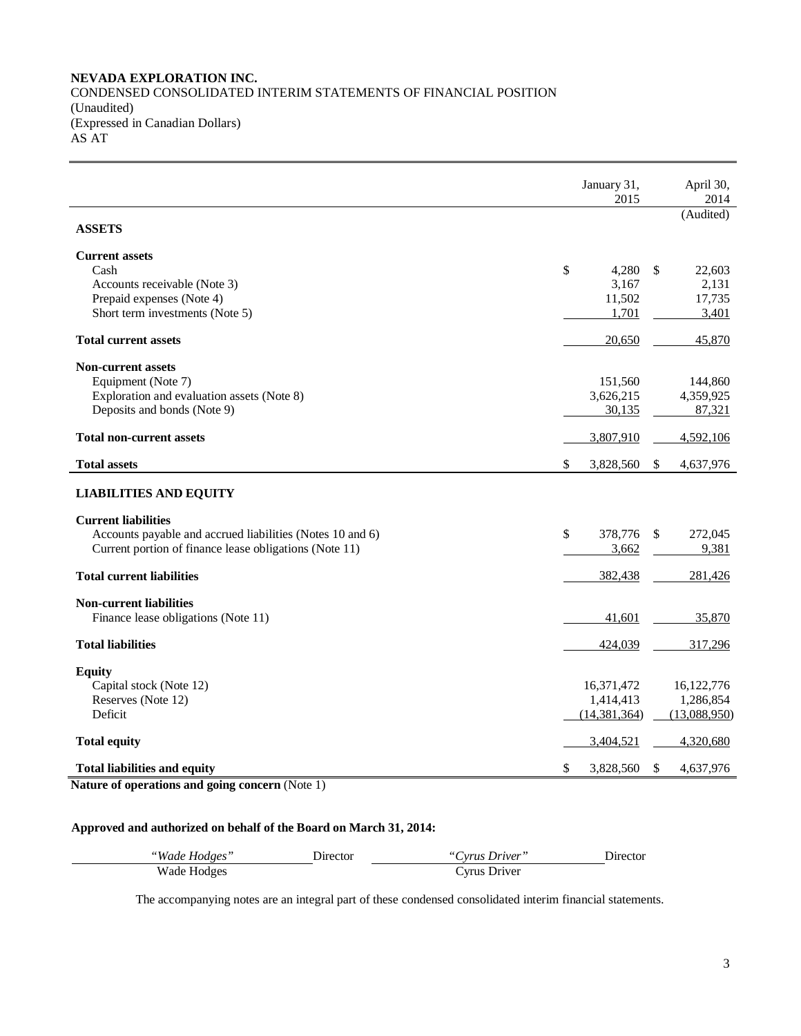### **NEVADA EXPLORATION INC.** CONDENSED CONSOLIDATED INTERIM STATEMENTS OF FINANCIAL POSITION (Unaudited) (Expressed in Canadian Dollars)  $ASAT$

|                                                           | January 31,<br>2015 | April 30,<br>2014       |
|-----------------------------------------------------------|---------------------|-------------------------|
| <b>ASSETS</b>                                             |                     | (Audited)               |
| <b>Current assets</b>                                     |                     |                         |
| Cash                                                      | \$<br>4,280         | <sup>\$</sup><br>22,603 |
| Accounts receivable (Note 3)                              | 3,167               | 2,131                   |
| Prepaid expenses (Note 4)                                 | 11,502              | 17,735                  |
| Short term investments (Note 5)                           | 1,701               | 3,401                   |
| <b>Total current assets</b>                               | 20,650              | 45,870                  |
| <b>Non-current assets</b>                                 |                     |                         |
| Equipment (Note 7)                                        | 151,560             | 144,860                 |
| Exploration and evaluation assets (Note 8)                | 3,626,215           | 4,359,925               |
| Deposits and bonds (Note 9)                               | 30,135              | 87,321                  |
| <b>Total non-current assets</b>                           | 3,807,910           | 4,592,106               |
| <b>Total assets</b>                                       | \$<br>3,828,560     | \$<br>4,637,976         |
| <b>LIABILITIES AND EQUITY</b>                             |                     |                         |
| <b>Current liabilities</b>                                |                     |                         |
| Accounts payable and accrued liabilities (Notes 10 and 6) | \$<br>378,776       | \$<br>272,045           |
| Current portion of finance lease obligations (Note 11)    | 3,662               | 9,381                   |
| <b>Total current liabilities</b>                          | 382,438             | 281,426                 |
| <b>Non-current liabilities</b>                            |                     |                         |
| Finance lease obligations (Note 11)                       | 41,601              | 35,870                  |
| <b>Total liabilities</b>                                  | 424,039             | 317,296                 |
| <b>Equity</b>                                             |                     |                         |
| Capital stock (Note 12)                                   | 16,371,472          | 16,122,776              |
| Reserves (Note 12)                                        | 1,414,413           | 1,286,854               |
| Deficit                                                   | (14, 381, 364)      | (13,088,950)            |
| <b>Total equity</b>                                       | 3,404,521           | 4,320,680               |
|                                                           | \$<br>3,828,560     | \$<br>4,637,976         |
| <b>Total liabilities and equity</b>                       |                     |                         |

**Nature of operations and going concern** (Note 1)

# **Approved and authorized on behalf of the Board on March 31, 2014:**

| "Wade Hodges" | Director | "Cyrus Driver" | Director |
|---------------|----------|----------------|----------|
| Wade Hodges   |          | Driver         |          |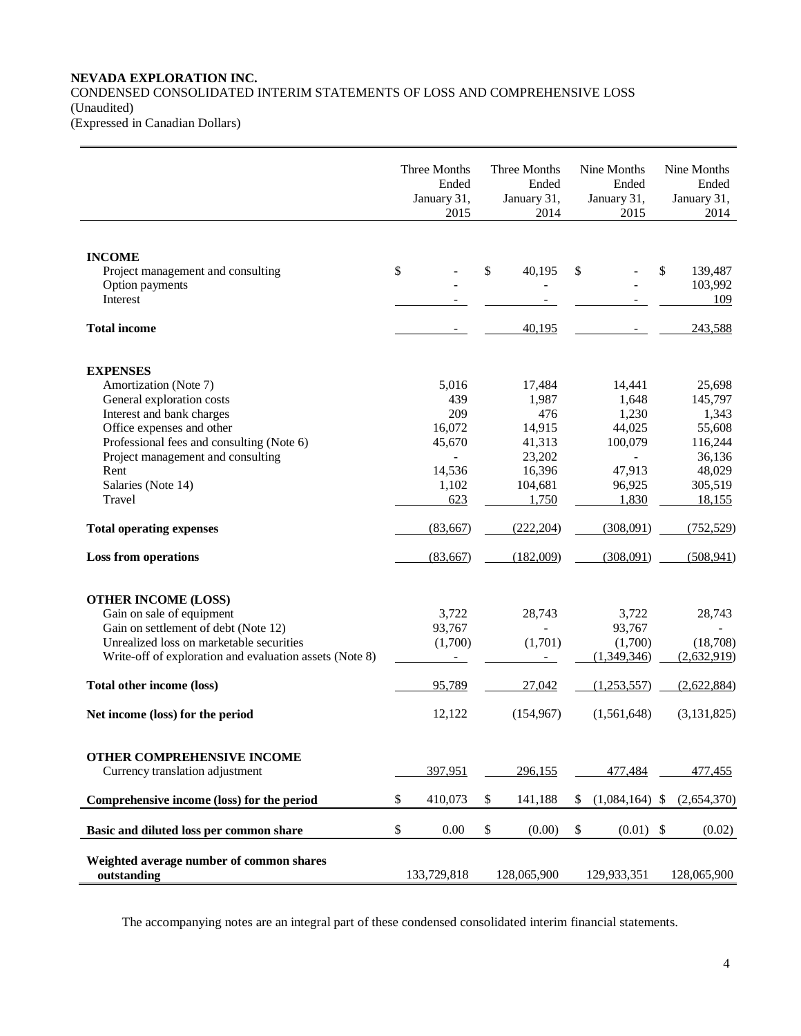# **NEVADA EXPLORATION INC.** CONDENSED CONSOLIDATED INTERIM STATEMENTS OF LOSS AND COMPREHENSIVE LOSS (Unaudited)

(Expressed in Canadian Dollars)

|                                                         | Three Months<br>Ended<br>January 31,<br>2015 | Three Months<br>Ended<br>January 31,<br>2014 | Nine Months<br>Ended<br>January 31,<br>2015 | Nine Months<br>Ended<br>January 31,<br>2014 |
|---------------------------------------------------------|----------------------------------------------|----------------------------------------------|---------------------------------------------|---------------------------------------------|
|                                                         |                                              |                                              |                                             |                                             |
| <b>INCOME</b>                                           |                                              |                                              |                                             |                                             |
| Project management and consulting<br>Option payments    | \$                                           | \$<br>40,195                                 | \$                                          | \$<br>139,487<br>103,992                    |
| <b>Interest</b>                                         |                                              |                                              |                                             | 109                                         |
|                                                         |                                              |                                              |                                             |                                             |
| <b>Total income</b>                                     |                                              | 40,195                                       |                                             | 243,588                                     |
| <b>EXPENSES</b>                                         |                                              |                                              |                                             |                                             |
| Amortization (Note 7)                                   | 5,016                                        | 17,484                                       | 14,441                                      | 25,698                                      |
| General exploration costs                               | 439                                          | 1,987                                        | 1,648                                       | 145,797                                     |
| Interest and bank charges                               | 209                                          | 476                                          | 1,230                                       | 1,343                                       |
| Office expenses and other                               | 16,072                                       | 14,915                                       | 44,025                                      | 55,608                                      |
| Professional fees and consulting (Note 6)               | 45,670                                       | 41,313                                       | 100,079                                     | 116,244                                     |
| Project management and consulting                       | $\overline{\phantom{0}}$                     | 23,202                                       | $\overline{a}$                              | 36,136                                      |
| Rent<br>Salaries (Note 14)                              | 14,536<br>1,102                              | 16,396<br>104,681                            | 47,913<br>96,925                            | 48,029<br>305,519                           |
| Travel                                                  | 623                                          | 1,750                                        | 1,830                                       | 18,155                                      |
| <b>Total operating expenses</b>                         | (83,667)                                     | (222, 204)                                   | (308,091)                                   | (752, 529)                                  |
|                                                         |                                              |                                              |                                             |                                             |
| <b>Loss from operations</b>                             | (83,667)                                     | (182,009)                                    | (308,091)                                   | (508, 941)                                  |
| <b>OTHER INCOME (LOSS)</b>                              |                                              |                                              |                                             |                                             |
| Gain on sale of equipment                               | 3,722                                        | 28,743                                       | 3,722                                       | 28,743                                      |
| Gain on settlement of debt (Note 12)                    | 93,767                                       |                                              | 93,767                                      |                                             |
| Unrealized loss on marketable securities                | (1,700)                                      | (1,701)                                      | (1,700)                                     | (18,708)                                    |
| Write-off of exploration and evaluation assets (Note 8) |                                              |                                              | (1,349,346)                                 | (2,632,919)                                 |
| Total other income (loss)                               | 95,789                                       | 27,042                                       | (1,253,557)                                 | (2,622,884)                                 |
| Net income (loss) for the period                        | 12,122                                       | (154, 967)                                   | (1,561,648)                                 | (3,131,825)                                 |
|                                                         |                                              |                                              |                                             |                                             |
| OTHER COMPREHENSIVE INCOME                              |                                              |                                              |                                             |                                             |
| Currency translation adjustment                         | 397,951                                      | 296,155                                      | 477,484                                     | 477,455                                     |
| Comprehensive income (loss) for the period              | \$<br>410,073                                | \$<br>141,188                                | \$<br>$(1,084,164)$ \$                      | (2,654,370)                                 |
| Basic and diluted loss per common share                 | \$<br>0.00                                   | \$<br>(0.00)                                 | \$<br>$(0.01)$ \$                           | (0.02)                                      |
| Weighted average number of common shares<br>outstanding | 133,729,818                                  | 128,065,900                                  | 129,933,351                                 | 128,065,900                                 |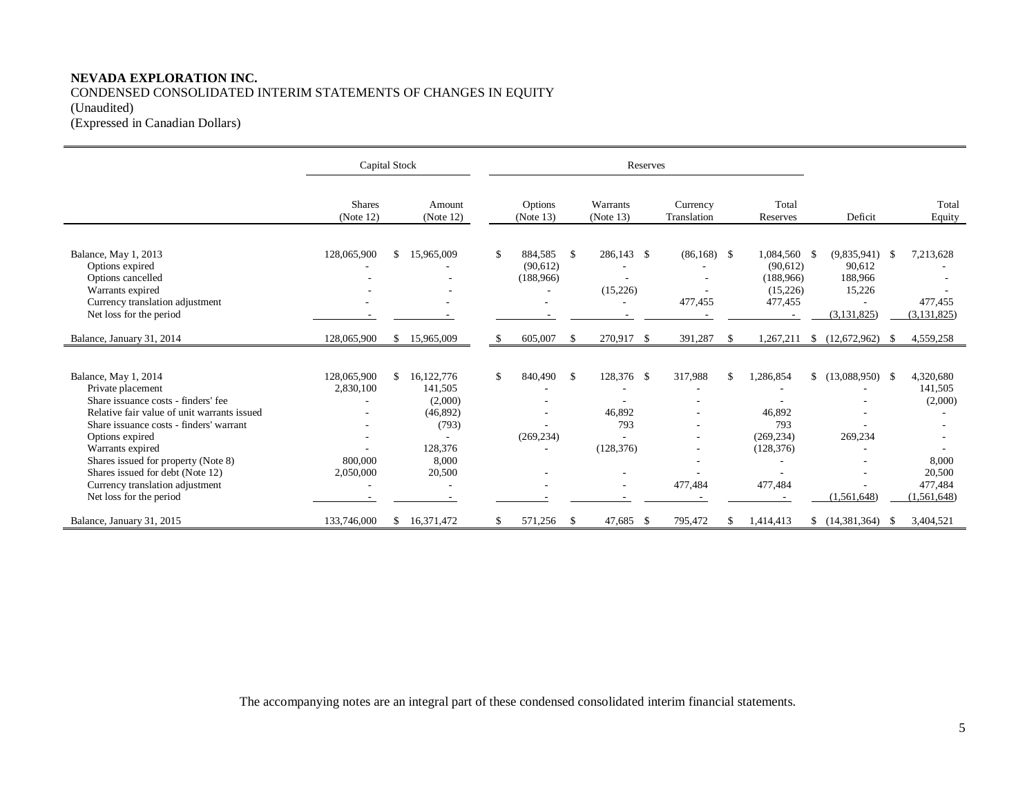## **NEVADA EXPLORATION INC.** CONDENSED CONSOLIDATED INTERIM STATEMENTS OF CHANGES IN EQUITY (Unaudited) (Expressed in Canadian Dollars)

|                                                                                                                                                                                                                                                                                                                                                            | Capital Stock                                    |                                                                                                |    |                                  |               | Reserves                                                              |                          |     |                                                                   |                                                                                         |      |                                                                              |
|------------------------------------------------------------------------------------------------------------------------------------------------------------------------------------------------------------------------------------------------------------------------------------------------------------------------------------------------------------|--------------------------------------------------|------------------------------------------------------------------------------------------------|----|----------------------------------|---------------|-----------------------------------------------------------------------|--------------------------|-----|-------------------------------------------------------------------|-----------------------------------------------------------------------------------------|------|------------------------------------------------------------------------------|
|                                                                                                                                                                                                                                                                                                                                                            | <b>Shares</b><br>(Note 12)                       | Amount<br>(Note 12)                                                                            |    | Options<br>(Note 13)             |               | Warrants<br>(Note 13)                                                 | Currency<br>Translation  |     | Total<br>Reserves                                                 | Deficit                                                                                 |      | Total<br>Equity                                                              |
| Balance, May 1, 2013<br>Options expired<br>Options cancelled<br>Warrants expired<br>Currency translation adjustment<br>Net loss for the period                                                                                                                                                                                                             | 128,065,900                                      | \$<br>15,965,009                                                                               | S. | 884.585<br>(90,612)<br>(188,966) | - \$          | 286.143 \$<br>(15,226)                                                | $(86,168)$ \$<br>477,455 |     | 1.084.560 \$<br>(90,612)<br>(188, 966)<br>(15,226)<br>477,455     | (9,835,941)<br>90,612<br>188,966<br>15,226<br>$\overline{\phantom{a}}$<br>(3, 131, 825) | -\$  | 7,213,628<br>477,455<br>(3, 131, 825)                                        |
| Balance, January 31, 2014                                                                                                                                                                                                                                                                                                                                  | 128,065,900                                      | \$<br>15,965,009                                                                               | \$ | 605,007                          | \$            | 270,917<br>$\mathcal{S}$                                              | 391,287                  | \$  | 1,267,211                                                         | (12,672,962)<br><sup>\$</sup>                                                           | - S  | 4,559,258                                                                    |
| Balance, May 1, 2014<br>Private placement<br>Share issuance costs - finders' fee<br>Relative fair value of unit warrants issued<br>Share issuance costs - finders' warrant<br>Options expired<br>Warrants expired<br>Shares issued for property (Note 8)<br>Shares issued for debt (Note 12)<br>Currency translation adjustment<br>Net loss for the period | 128,065,900<br>2,830,100<br>800,000<br>2,050,000 | \$<br>16,122,776<br>141,505<br>(2,000)<br>(46,892)<br>(793)<br>128,376<br>8.000<br>20,500<br>٠ | \$ | 840,490<br>(269, 234)            | -S            | 128,376 \$<br>46.892<br>793<br>(128, 376)<br>$\overline{\phantom{a}}$ | 317,988<br>٠<br>477,484  | \$. | 1,286,854<br>46.892<br>793<br>(269, 234)<br>(128, 376)<br>477,484 | $$(13,088,950)$ \, \$<br>269,234<br>(1,561,648)                                         |      | 4,320,680<br>141,505<br>(2,000)<br>8,000<br>20,500<br>477.484<br>(1,561,648) |
| Balance, January 31, 2015                                                                                                                                                                                                                                                                                                                                  | 133,746,000                                      | \$<br>16,371,472                                                                               |    | 571,256                          | $\mathcal{S}$ | 47,685<br>$\mathcal{S}$                                               | 795,472                  | \$. | 1,414,413                                                         | (14,381,364)                                                                            | - \$ | 3,404,521                                                                    |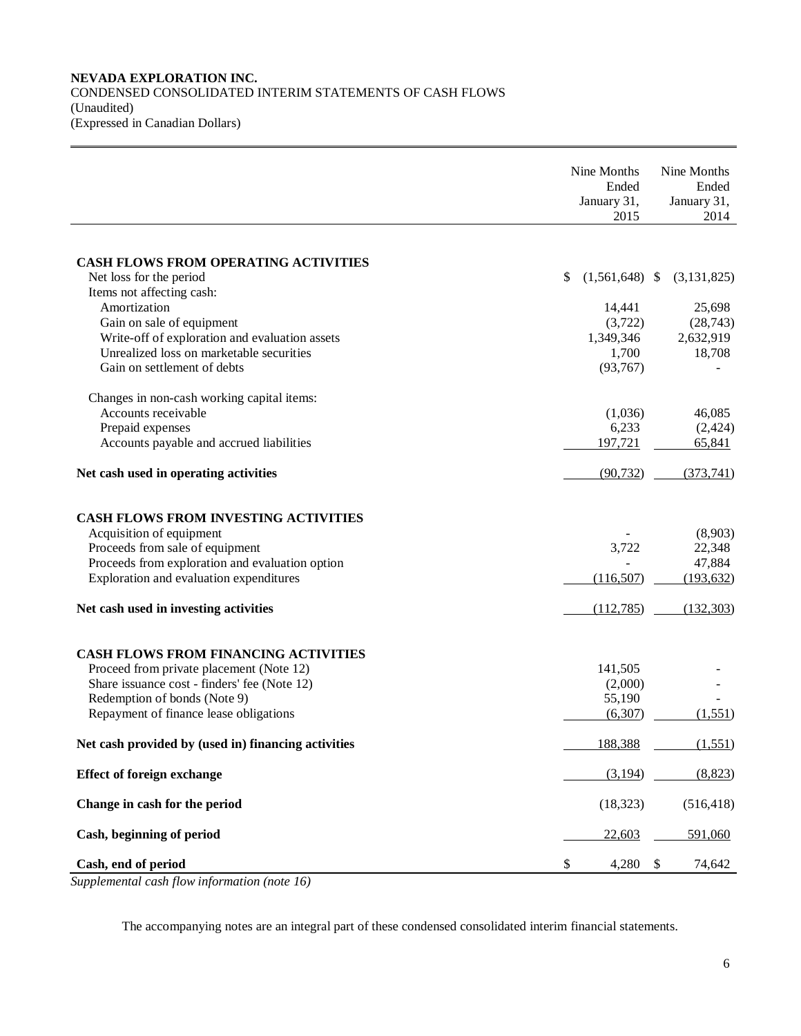### **NEVADA EXPLORATION INC.** CONDENSED CONSOLIDATED INTERIM STATEMENTS OF CASH FLOWS (Unaudited) (Expressed in Canadian Dollars)

|                                                                                                                                                                                                                                                                               | Nine Months<br>Ended<br>January 31,<br>2015                                   | Nine Months<br>Ended<br>January 31,<br>2014                 |
|-------------------------------------------------------------------------------------------------------------------------------------------------------------------------------------------------------------------------------------------------------------------------------|-------------------------------------------------------------------------------|-------------------------------------------------------------|
| <b>CASH FLOWS FROM OPERATING ACTIVITIES</b><br>Net loss for the period<br>Items not affecting cash:<br>Amortization<br>Gain on sale of equipment<br>Write-off of exploration and evaluation assets<br>Unrealized loss on marketable securities<br>Gain on settlement of debts | $(1,561,648)$ \$<br>\$<br>14,441<br>(3,722)<br>1,349,346<br>1,700<br>(93,767) | (3, 131, 825)<br>25,698<br>(28, 743)<br>2,632,919<br>18,708 |
| Changes in non-cash working capital items:<br>Accounts receivable<br>Prepaid expenses<br>Accounts payable and accrued liabilities<br>Net cash used in operating activities                                                                                                    | (1,036)<br>6,233<br>197,721<br>(90, 732)                                      | 46,085<br>(2, 424)<br>65,841<br>(373,741)                   |
| <b>CASH FLOWS FROM INVESTING ACTIVITIES</b><br>Acquisition of equipment<br>Proceeds from sale of equipment<br>Proceeds from exploration and evaluation option<br>Exploration and evaluation expenditures<br>Net cash used in investing activities                             | 3,722<br>(116,507)<br>(112, 785)                                              | (8,903)<br>22,348<br>47,884<br>(193, 632)<br>(132, 303)     |
| <b>CASH FLOWS FROM FINANCING ACTIVITIES</b><br>Proceed from private placement (Note 12)<br>Share issuance cost - finders' fee (Note 12)<br>Redemption of bonds (Note 9)<br>Repayment of finance lease obligations                                                             | 141,505<br>(2,000)<br>55,190<br>(6,307)                                       | (1,551)                                                     |
| Net cash provided by (used in) financing activities                                                                                                                                                                                                                           | 188,388                                                                       | (1, 551)                                                    |
| <b>Effect of foreign exchange</b>                                                                                                                                                                                                                                             | (3,194)                                                                       | (8,823)                                                     |
| Change in cash for the period<br>Cash, beginning of period                                                                                                                                                                                                                    | (18, 323)<br>22,603                                                           | (516, 418)<br>591,060                                       |
| Cash, end of period                                                                                                                                                                                                                                                           | \$<br>4,280                                                                   | 74,642<br>\$                                                |

*Supplemental cash flow information (note 16)*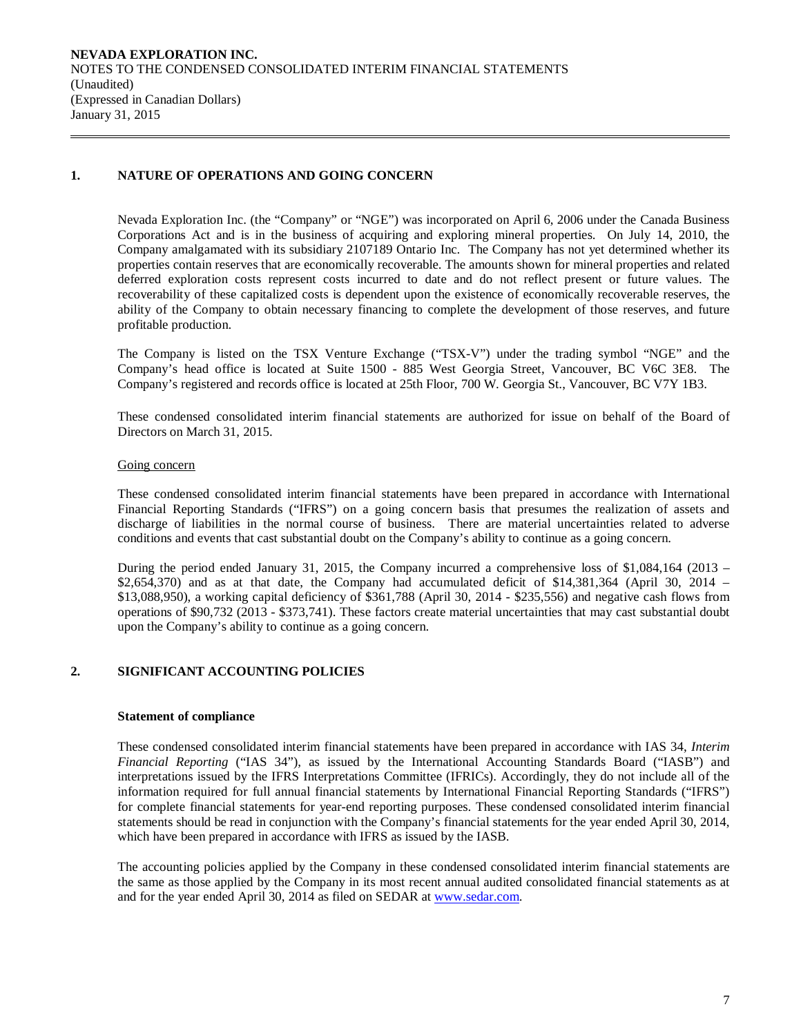# **1. NATURE OF OPERATIONS AND GOING CONCERN**

Nevada Exploration Inc. (the "Company" or "NGE") was incorporated on April 6, 2006 under the Canada Business Corporations Act and is in the business of acquiring and exploring mineral properties. On July 14, 2010, the Company amalgamated with its subsidiary 2107189 Ontario Inc. The Company has not yet determined whether its properties contain reserves that are economically recoverable. The amounts shown for mineral properties and related deferred exploration costs represent costs incurred to date and do not reflect present or future values. The recoverability of these capitalized costs is dependent upon the existence of economically recoverable reserves, the ability of the Company to obtain necessary financing to complete the development of those reserves, and future profitable production.

The Company is listed on the TSX Venture Exchange ("TSX-V") under the trading symbol "NGE" and the Company's head office is located at Suite 1500 - 885 West Georgia Street, Vancouver, BC V6C 3E8. The Company's registered and records office is located at 25th Floor, 700 W. Georgia St., Vancouver, BC V7Y 1B3.

These condensed consolidated interim financial statements are authorized for issue on behalf of the Board of Directors on March 31, 2015.

### Going concern

These condensed consolidated interim financial statements have been prepared in accordance with International Financial Reporting Standards ("IFRS") on a going concern basis that presumes the realization of assets and discharge of liabilities in the normal course of business. There are material uncertainties related to adverse conditions and events that cast substantial doubt on the Company's ability to continue as a going concern.

During the period ended January 31, 2015, the Company incurred a comprehensive loss of \$1,084,164 (2013 – \$2,654,370) and as at that date, the Company had accumulated deficit of \$14,381,364 (April 30, 2014 – \$13,088,950), a working capital deficiency of \$361,788 (April 30, 2014 - \$235,556) and negative cash flows from operations of \$90,732 (2013 - \$373,741). These factors create material uncertainties that may cast substantial doubt upon the Company's ability to continue as a going concern.

## **2. SIGNIFICANT ACCOUNTING POLICIES**

#### **Statement of compliance**

These condensed consolidated interim financial statements have been prepared in accordance with IAS 34, *Interim Financial Reporting* ("IAS 34"), as issued by the International Accounting Standards Board ("IASB") and interpretations issued by the IFRS Interpretations Committee (IFRICs). Accordingly, they do not include all of the information required for full annual financial statements by International Financial Reporting Standards ("IFRS") for complete financial statements for year-end reporting purposes. These condensed consolidated interim financial statements should be read in conjunction with the Company's financial statements for the year ended April 30, 2014, which have been prepared in accordance with IFRS as issued by the IASB.

The accounting policies applied by the Company in these condensed consolidated interim financial statements are the same as those applied by the Company in its most recent annual audited consolidated financial statements as at and for the year ended April 30, 2014 as filed on SEDAR at [www.sedar.com.](http://www.sedar.com/)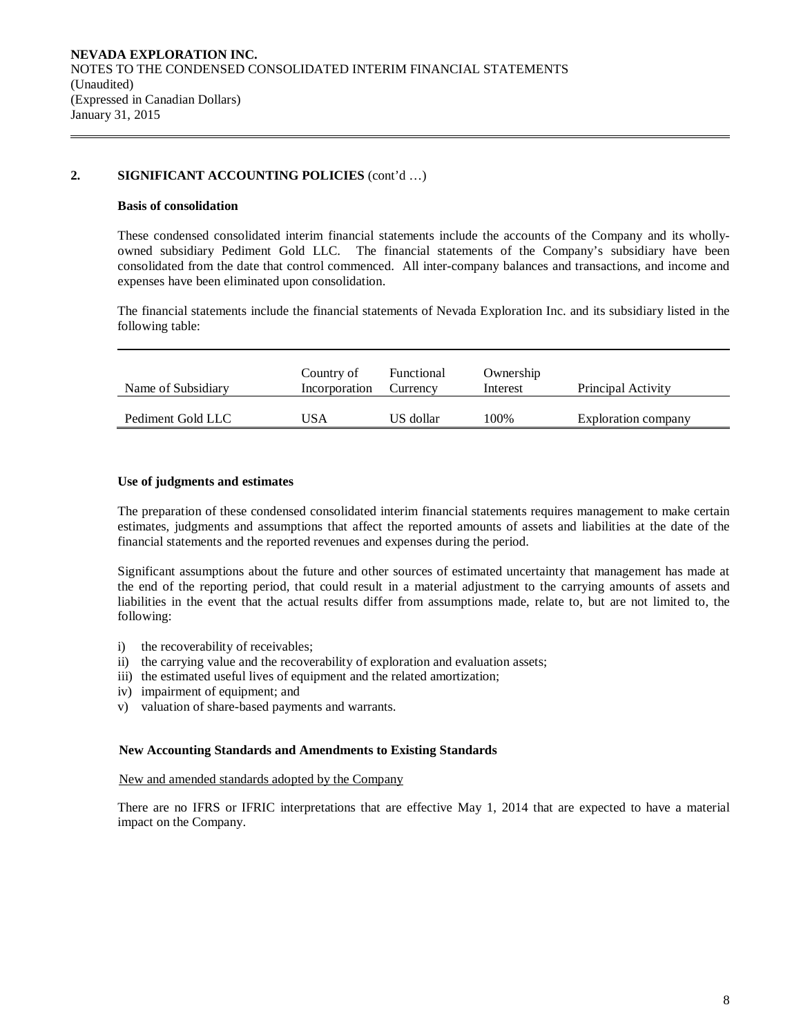### **2. SIGNIFICANT ACCOUNTING POLICIES** (cont'd …)

#### **Basis of consolidation**

These condensed consolidated interim financial statements include the accounts of the Company and its whollyowned subsidiary Pediment Gold LLC. The financial statements of the Company's subsidiary have been consolidated from the date that control commenced. All inter-company balances and transactions, and income and expenses have been eliminated upon consolidation.

The financial statements include the financial statements of Nevada Exploration Inc. and its subsidiary listed in the following table:

| Name of Subsidiary | Country of<br>Incorporation | Functional<br>Currency | Ownership<br>Interest | Principal Activity  |
|--------------------|-----------------------------|------------------------|-----------------------|---------------------|
| Pediment Gold LLC  | USA                         | US dollar              | 100%                  | Exploration company |

### **Use of judgments and estimates**

The preparation of these condensed consolidated interim financial statements requires management to make certain estimates, judgments and assumptions that affect the reported amounts of assets and liabilities at the date of the financial statements and the reported revenues and expenses during the period.

Significant assumptions about the future and other sources of estimated uncertainty that management has made at the end of the reporting period, that could result in a material adjustment to the carrying amounts of assets and liabilities in the event that the actual results differ from assumptions made, relate to, but are not limited to, the following:

- i) the recoverability of receivables;
- ii) the carrying value and the recoverability of exploration and evaluation assets;
- iii) the estimated useful lives of equipment and the related amortization;
- iv) impairment of equipment; and
- v) valuation of share-based payments and warrants.

#### **New Accounting Standards and Amendments to Existing Standards**

#### New and amended standards adopted by the Company

There are no IFRS or IFRIC interpretations that are effective May 1, 2014 that are expected to have a material impact on the Company.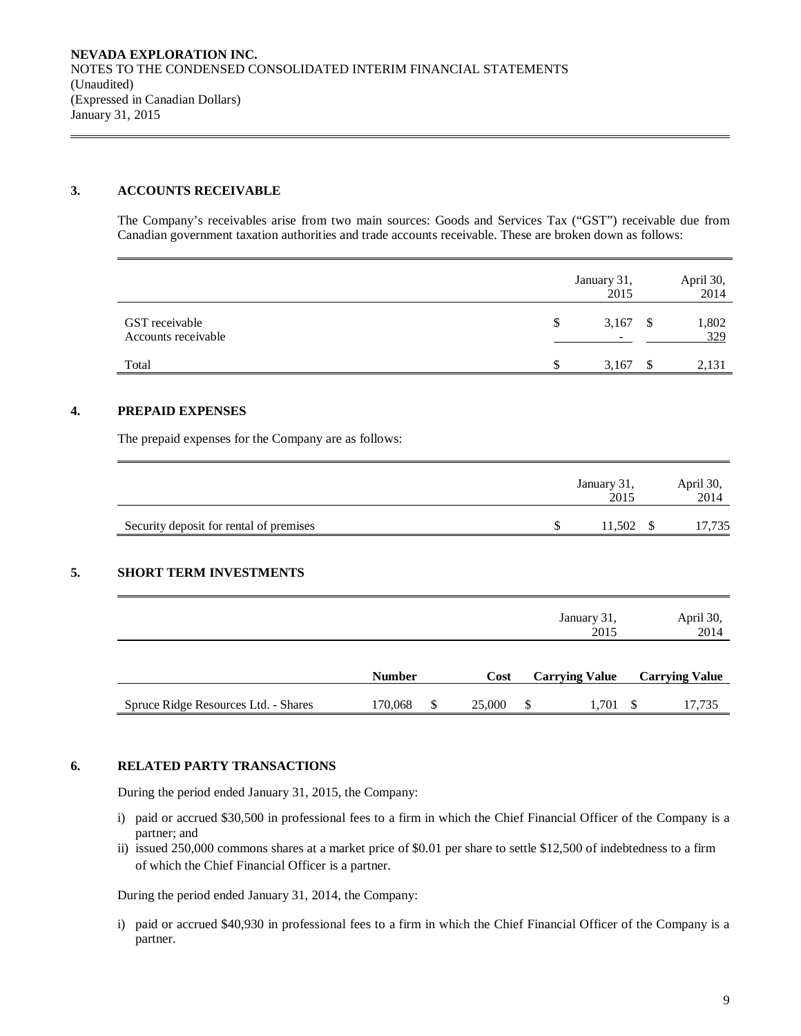### **3. ACCOUNTS RECEIVABLE**

The Company's receivables arise from two main sources: Goods and Services Tax ("GST") receivable due from Canadian government taxation authorities and trade accounts receivable. These are broken down as follows:

|                                       | January 31,<br>2015                     |      | April 30,<br>2014 |
|---------------------------------------|-----------------------------------------|------|-------------------|
| GST receivable<br>Accounts receivable | \$<br>3,167<br>$\overline{\phantom{a}}$ | - \$ | 1,802<br>329      |
| Total                                 | 3,167                                   |      | 2,131             |

### **4. PREPAID EXPENSES**

The prepaid expenses for the Company are as follows:

|                                         | January 31,<br>2015 | April 30,<br>2014 |
|-----------------------------------------|---------------------|-------------------|
| Security deposit for rental of premises | $11,502$ \$         | 17,735            |

## **5. SHORT TERM INVESTMENTS**

|                                      |               |        |               | January 31,<br>2015   | April 30,<br>2014     |
|--------------------------------------|---------------|--------|---------------|-----------------------|-----------------------|
|                                      | <b>Number</b> | Cost   |               | <b>Carrying Value</b> | <b>Carrying Value</b> |
| Spruce Ridge Resources Ltd. - Shares | 170,068       | 25,000 | <sup>\$</sup> | 1,701                 | 17,735                |

#### **6. RELATED PARTY TRANSACTIONS**

During the period ended January 31, 2015, the Company:

- i) paid or accrued \$30,500 in professional fees to a firm in which the Chief Financial Officer of the Company is a partner; and
- ii) issued 250,000 commons shares at a market price of \$0.01 per share to settle \$12,500 of indebtedness to a firm of which the Chief Financial Officer is a partner.

During the period ended January 31, 2014, the Company:

i) paid or accrued \$40,930 in professional fees to a firm in which the Chief Financial Officer of the Company is a partner.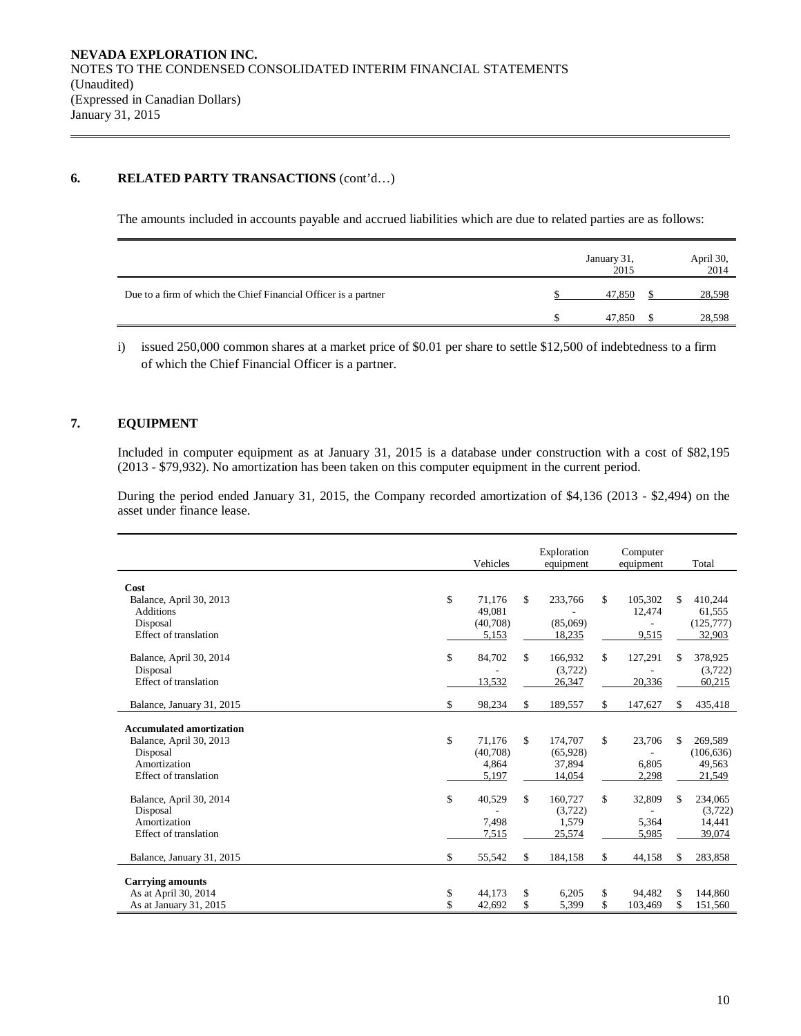### **6. RELATED PARTY TRANSACTIONS** (cont'd…)

The amounts included in accounts payable and accrued liabilities which are due to related parties are as follows:

|                                                                 | January 31,<br>2015 | April 30,<br>2014 |
|-----------------------------------------------------------------|---------------------|-------------------|
| Due to a firm of which the Chief Financial Officer is a partner | 47,850              | 28,598            |
|                                                                 | 47,850              | 28,598            |

i) issued 250,000 common shares at a market price of \$0.01 per share to settle \$12,500 of indebtedness to a firm of which the Chief Financial Officer is a partner.

# **7. EQUIPMENT**

Included in computer equipment as at January 31, 2015 is a database under construction with a cost of \$82,195 (2013 - \$79,932). No amortization has been taken on this computer equipment in the current period.

During the period ended January 31, 2015, the Company recorded amortization of \$4,136 (2013 - \$2,494) on the asset under finance lease.

|                                 | Vehicles     | Exploration<br>equipment | Computer<br>equipment |    | Total      |
|---------------------------------|--------------|--------------------------|-----------------------|----|------------|
| Cost                            |              |                          |                       |    |            |
| Balance, April 30, 2013         | \$<br>71,176 | \$<br>233,766            | \$<br>105,302         | S. | 410,244    |
| <b>Additions</b>                | 49.081       |                          | 12,474                |    | 61,555     |
| Disposal                        | (40,708)     | (85,069)                 |                       |    | (125, 777) |
| Effect of translation           | 5,153        | 18,235                   | 9,515                 |    | 32,903     |
| Balance, April 30, 2014         | \$<br>84,702 | \$<br>166,932            | \$<br>127,291         | \$ | 378,925    |
| Disposal                        |              | (3,722)                  |                       |    | (3,722)    |
| Effect of translation           | 13,532       | 26,347                   | 20,336                |    | 60,215     |
| Balance, January 31, 2015       | \$<br>98,234 | \$<br>189,557            | \$<br>147,627         | \$ | 435,418    |
| <b>Accumulated amortization</b> |              |                          |                       |    |            |
| Balance, April 30, 2013         | \$<br>71.176 | \$<br>174,707            | \$<br>23,706          | \$ | 269,589    |
| Disposal                        | (40,708)     | (65, 928)                |                       |    | (106, 636) |
| Amortization                    | 4,864        | 37,894                   | 6.805                 |    | 49,563     |
| Effect of translation           | 5,197        | 14,054                   | 2,298                 |    | 21,549     |
| Balance, April 30, 2014         | \$<br>40,529 | \$<br>160,727            | \$<br>32,809          | \$ | 234,065    |
| Disposal                        |              | (3,722)                  |                       |    | (3,722)    |
| Amortization                    | 7,498        | 1,579                    | 5,364                 |    | 14,441     |
| Effect of translation           | 7,515        | 25,574                   | 5,985                 |    | 39,074     |
| Balance, January 31, 2015       | \$<br>55,542 | \$<br>184,158            | \$<br>44,158          | S. | 283,858    |
| <b>Carrying amounts</b>         |              |                          |                       |    |            |
| As at April 30, 2014            | \$<br>44,173 | \$<br>6,205              | \$<br>94,482          | \$ | 144,860    |
| As at January 31, 2015          | \$<br>42,692 | \$<br>5,399              | \$<br>103,469         | \$ | 151,560    |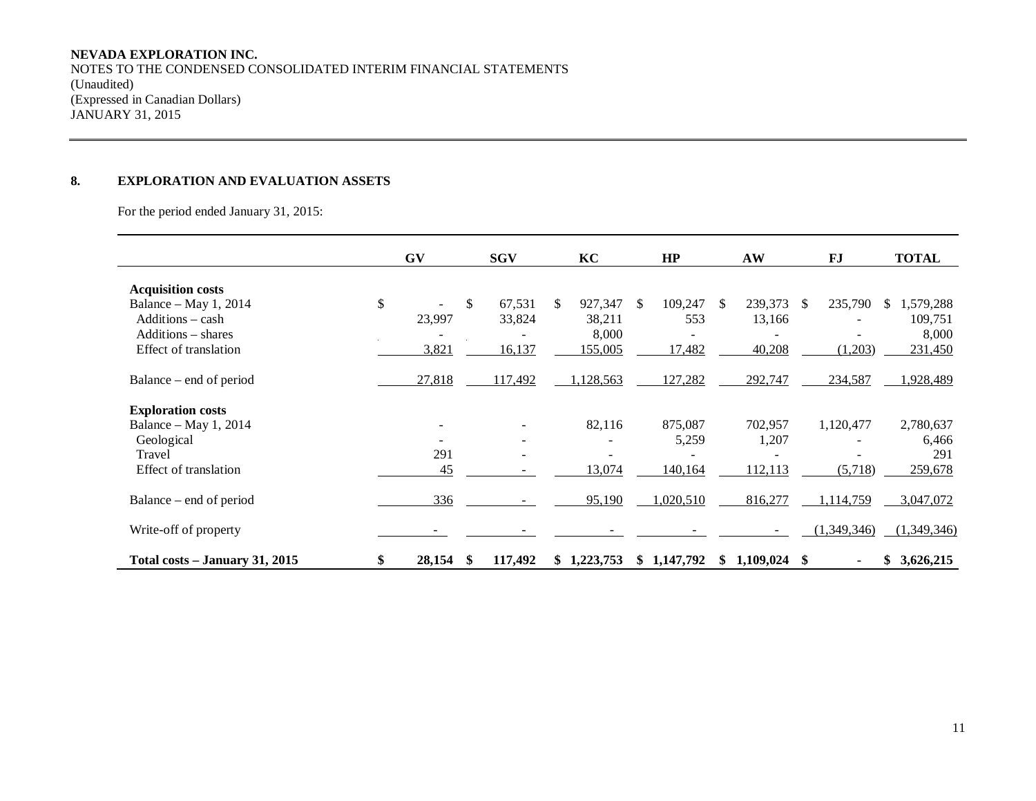# **NEVADA EXPLORATION INC.**

NOTES TO THE CONDENSED CONSOLIDATED INTERIM FINANCIAL STATEMENTS (Unaudited) (Expressed in Canadian Dollars) JANUARY 31, 2015

# **8. EXPLORATION AND EVALUATION ASSETS**

For the period ended January 31, 2015:

|                                | GV           | <b>SGV</b> |         |     | KC        |    | HP          |               | AW        |          | FJ             |     | <b>TOTAL</b> |
|--------------------------------|--------------|------------|---------|-----|-----------|----|-------------|---------------|-----------|----------|----------------|-----|--------------|
| <b>Acquisition costs</b>       |              |            |         |     |           |    |             |               |           |          |                |     |              |
| Balance – May 1, 2014          | \$           | \$         | 67,531  | \$. | 927,347   | -S | 109,247     | <sup>\$</sup> | 239,373   | <b>S</b> | 235,790        | \$. | 1,579,288    |
| Additions - cash               | 23,997       |            | 33,824  |     | 38,211    |    | 553         |               | 13,166    |          |                |     | 109,751      |
| Additions – shares             |              |            |         |     | 8,000     |    |             |               |           |          |                |     | 8,000        |
| Effect of translation          | 3,821        |            | 16,137  |     | 155,005   |    | 17,482      |               | 40,208    |          | (1,203)        |     | 231,450      |
|                                |              |            |         |     |           |    |             |               |           |          |                |     |              |
| Balance – end of period        | 27,818       |            | 117,492 |     | 1,128,563 |    | 127,282     |               | 292,747   |          | 234,587        |     | 1,928,489    |
| <b>Exploration costs</b>       |              |            |         |     |           |    |             |               |           |          |                |     |              |
| Balance – May 1, 2014          |              |            |         |     | 82,116    |    | 875,087     |               | 702,957   |          | 1,120,477      |     | 2,780,637    |
| Geological                     |              |            | Ξ.      |     |           |    | 5,259       |               | 1,207     |          |                |     | 6,466        |
| Travel                         | 291          |            |         |     |           |    |             |               |           |          |                |     | 291          |
| Effect of translation          | 45           |            |         |     | 13,074    |    | 140,164     |               | 112,113   |          | (5,718)        |     | 259,678      |
| Balance – end of period        | 336          |            |         |     | 95,190    |    | 1,020,510   |               | 816,277   |          | 1,114,759      |     | 3,047,072    |
| Write-off of property          |              |            |         |     |           |    |             |               |           |          | (1,349,346)    |     | (1,349,346)  |
| Total costs - January 31, 2015 | \$<br>28,154 | S          | 117,492 | SS. | 1,223,753 |    | \$1,147,792 | S.            | 1,109,024 | -S       | $\blacksquare$ |     | \$3,626,215  |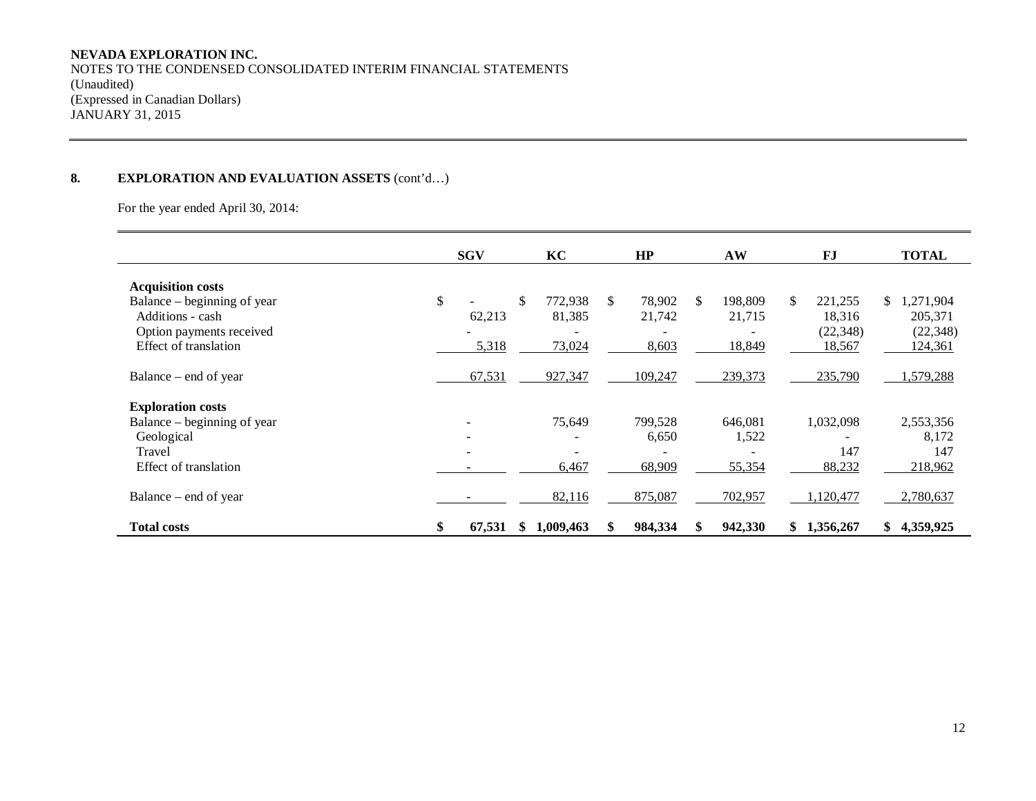# **NEVADA EXPLORATION INC.**

NOTES TO THE CONDENSED CONSOLIDATED INTERIM FINANCIAL STATEMENTS (Unaudited) (Expressed in Canadian Dollars) JANUARY 31, 2015

# **8. EXPLORATION AND EVALUATION ASSETS** (cont'd…)

For the year ended April 30, 2014:

|                                                                                                                                  | <b>SGV</b> |                       | KC                                          | HP                              |     | AW                          | FJ                                             | <b>TOTAL</b>                                   |
|----------------------------------------------------------------------------------------------------------------------------------|------------|-----------------------|---------------------------------------------|---------------------------------|-----|-----------------------------|------------------------------------------------|------------------------------------------------|
| <b>Acquisition costs</b><br>Balance – beginning of year<br>Additions - cash<br>Option payments received<br>Effect of translation | \$         | \$<br>62,213<br>5,318 | 772,938<br>81,385<br>73,024                 | \$<br>78,902<br>21,742<br>8,603 | \$. | 198,809<br>21,715<br>18,849 | \$<br>221,255<br>18,316<br>(22, 348)<br>18,567 | \$1,271,904<br>205,371<br>(22, 348)<br>124,361 |
| Balance – end of year<br><b>Exploration costs</b>                                                                                |            | 67,531                | 927,347                                     | 109,247                         |     | 239,373                     | 235,790                                        | ,579,288                                       |
| Balance – beginning of year<br>Geological<br>Travel<br>Effect of translation                                                     | ۰          |                       | 75,649<br>$\overline{\phantom{0}}$<br>6,467 | 799,528<br>6,650<br>68,909      |     | 646,081<br>1,522<br>55,354  | 1,032,098<br>147<br>88,232                     | 2,553,356<br>8,172<br>147<br>218,962           |
| Balance – end of year                                                                                                            |            |                       | 82,116                                      | 875,087                         |     | 702,957                     | 1,120,477                                      | 2,780,637                                      |
| <b>Total costs</b>                                                                                                               | \$         | 67,531<br>S           | 1,009,463                                   | 984,334                         |     | 942,330                     | 1,356,267<br>S.                                | 4,359,925<br>\$                                |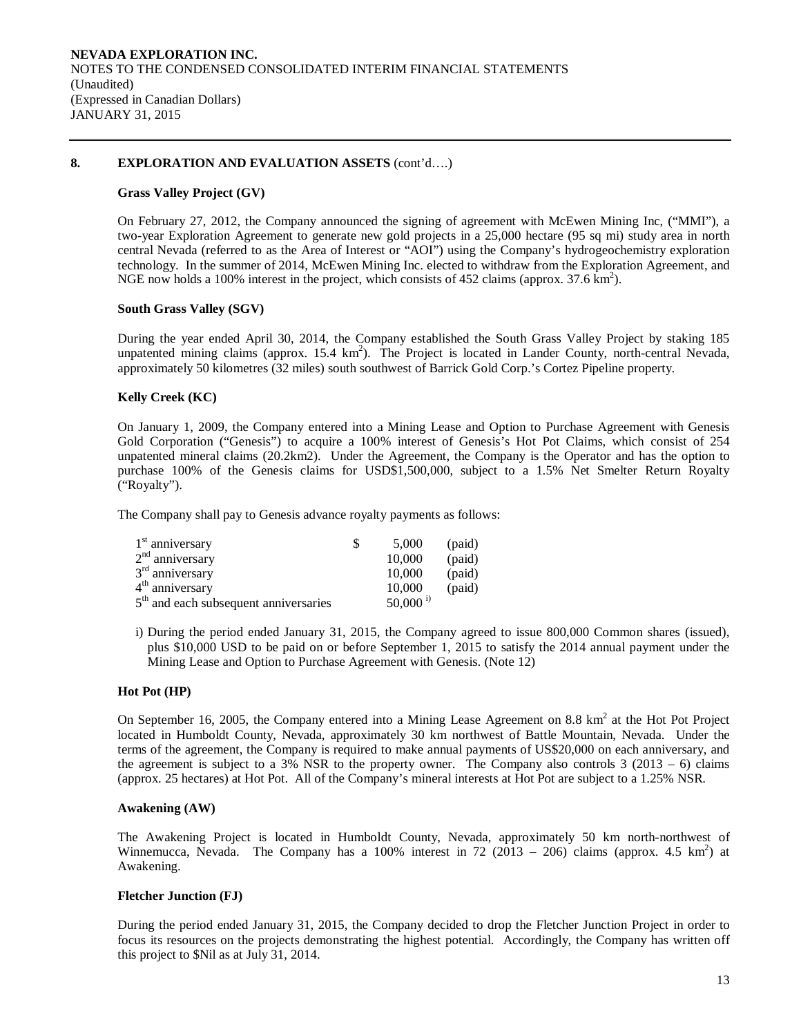#### **8. EXPLORATION AND EVALUATION ASSETS** (cont'd….)

#### **Grass Valley Project (GV)**

On February 27, 2012, the Company announced the signing of agreement with McEwen Mining Inc, ("MMI"), a two-year Exploration Agreement to generate new gold projects in a 25,000 hectare (95 sq mi) study area in north central Nevada (referred to as the Area of Interest or "AOI") using the Company's hydrogeochemistry exploration technology. In the summer of 2014, McEwen Mining Inc. elected to withdraw from the Exploration Agreement, and NGE now holds a 100% interest in the project, which consists of 452 claims (approx.  $37.6 \text{ km}^2$ ).

#### **South Grass Valley (SGV)**

During the year ended April 30, 2014, the Company established the South Grass Valley Project by staking 185 unpatented mining claims (approx. 15.4 km<sup>2</sup>). The Project is located in Lander County, north-central Nevada, approximately 50 kilometres (32 miles) south southwest of Barrick Gold Corp.'s Cortez Pipeline property.

#### **Kelly Creek (KC)**

On January 1, 2009, the Company entered into a Mining Lease and Option to Purchase Agreement with Genesis Gold Corporation ("Genesis") to acquire a 100% interest of Genesis's Hot Pot Claims, which consist of 254 unpatented mineral claims (20.2km2). Under the Agreement, the Company is the Operator and has the option to purchase 100% of the Genesis claims for USD\$1,500,000, subject to a 1.5% Net Smelter Return Royalty ("Royalty").

The Company shall pay to Genesis advance royalty payments as follows:

| $1st$ anniversary                                 | 5.000                  | (paid) |
|---------------------------------------------------|------------------------|--------|
| $2nd$ anniversary                                 | 10,000                 | (paid) |
| $3rd$ anniversary                                 | 10,000                 | (paid) |
| 4 <sup>th</sup> anniversary                       | 10,000                 | (paid) |
| 5 <sup>th</sup> and each subsequent anniversaries | $50,000$ <sup>i)</sup> |        |

i) During the period ended January 31, 2015, the Company agreed to issue 800,000 Common shares (issued), plus \$10,000 USD to be paid on or before September 1, 2015 to satisfy the 2014 annual payment under the Mining Lease and Option to Purchase Agreement with Genesis. (Note 12)

### **Hot Pot (HP)**

On September 16, 2005, the Company entered into a Mining Lease Agreement on 8.8 km<sup>2</sup> at the Hot Project located in Humboldt County, Nevada, approximately 30 km northwest of Battle Mountain, Nevada. Under the terms of the agreement, the Company is required to make annual payments of US\$20,000 on each anniversary, and the agreement is subject to a 3% NSR to the property owner. The Company also controls  $3(2013 - 6)$  claims (approx. 25 hectares) at Hot Pot. All of the Company's mineral interests at Hot Pot are subject to a 1.25% NSR.

#### **Awakening (AW)**

The Awakening Project is located in Humboldt County, Nevada, approximately 50 km north-northwest of Winnemucca, Nevada. The Company has a 100% interest in  $72$  (2013 – 206) claims (approx. 4.5 km<sup>2</sup>) at Awakening.

#### **Fletcher Junction (FJ)**

During the period ended January 31, 2015, the Company decided to drop the Fletcher Junction Project in order to focus its resources on the projects demonstrating the highest potential. Accordingly, the Company has written off this project to \$Nil as at July 31, 2014.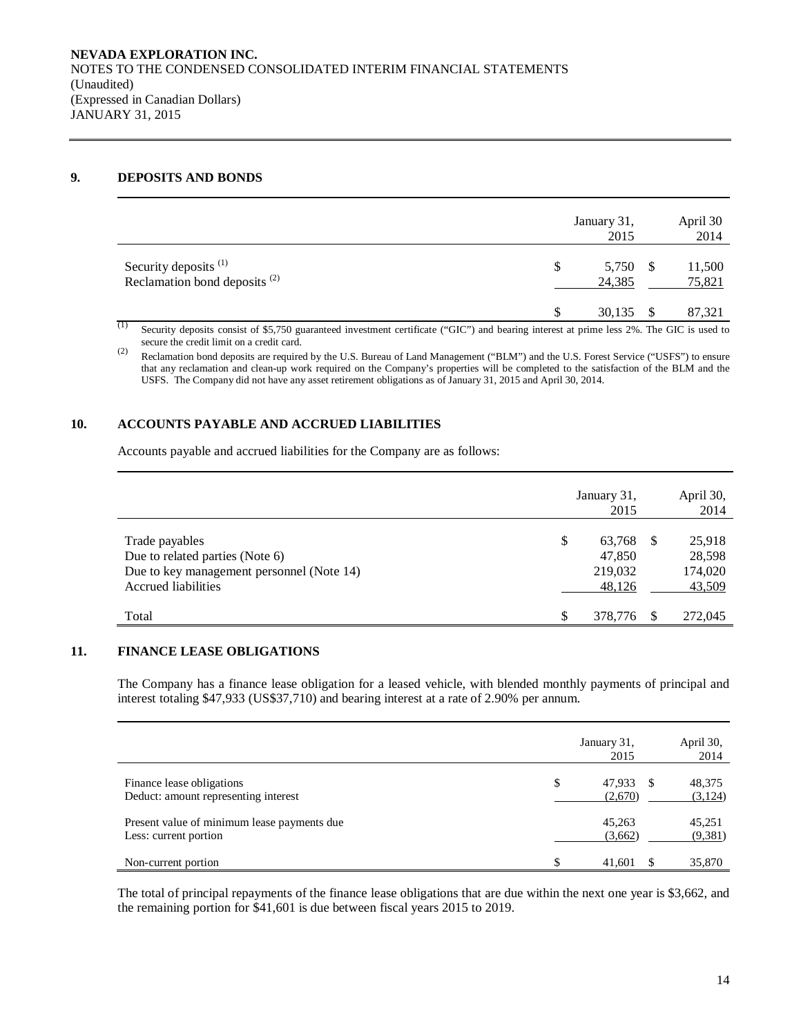### **9. DEPOSITS AND BONDS**

|                                                                     | January 31,<br>2015      |     | April 30<br>2014 |
|---------------------------------------------------------------------|--------------------------|-----|------------------|
| Security deposits <sup>(1)</sup><br>Reclamation bond deposits $(2)$ | 5,750 \$<br>\$<br>24,385 |     | 11,500<br>75,821 |
|                                                                     | 30,135                   | - S | 87,321           |

Security deposits consist of \$5,750 guaranteed investment certificate ("GIC") and bearing interest at prime less 2%. The GIC is used to secure the credit limit on a credit card.

(2) Reclamation bond deposits are required by the U.S. Bureau of Land Management ("BLM") and the U.S. Forest Service ("USFS") to ensure that any reclamation and clean-up work required on the Company's properties will be completed to the satisfaction of the BLM and the USFS. The Company did not have any asset retirement obligations as of January 31, 2015 and April 30, 2014.

# **10. ACCOUNTS PAYABLE AND ACCRUED LIABILITIES**

Accounts payable and accrued liabilities for the Company are as follows:

|                                                                                                                       | January 31,<br>2015                         |    | April 30,<br>2014                     |
|-----------------------------------------------------------------------------------------------------------------------|---------------------------------------------|----|---------------------------------------|
| Trade payables<br>Due to related parties (Note 6)<br>Due to key management personnel (Note 14)<br>Accrued liabilities | \$<br>63,768<br>47.850<br>219,032<br>48,126 | -S | 25,918<br>28,598<br>174,020<br>43,509 |
| Total                                                                                                                 | S<br>378,776                                | S. | 272,045                               |

### **11. FINANCE LEASE OBLIGATIONS**

The Company has a finance lease obligation for a leased vehicle, with blended monthly payments of principal and interest totaling \$47,933 (US\$37,710) and bearing interest at a rate of 2.90% per annum.

|                                                                      | January 31,<br>2015        | April 30,<br>2014 |
|----------------------------------------------------------------------|----------------------------|-------------------|
| Finance lease obligations<br>Deduct: amount representing interest    | \$<br>47,933 \$<br>(2,670) | 48,375<br>(3,124) |
| Present value of minimum lease payments due<br>Less: current portion | 45,263<br>(3,662)          | 45,251<br>(9,381) |
| Non-current portion                                                  | \$<br>41,601               | 35,870            |

The total of principal repayments of the finance lease obligations that are due within the next one year is \$3,662, and the remaining portion for \$41,601 is due between fiscal years 2015 to 2019.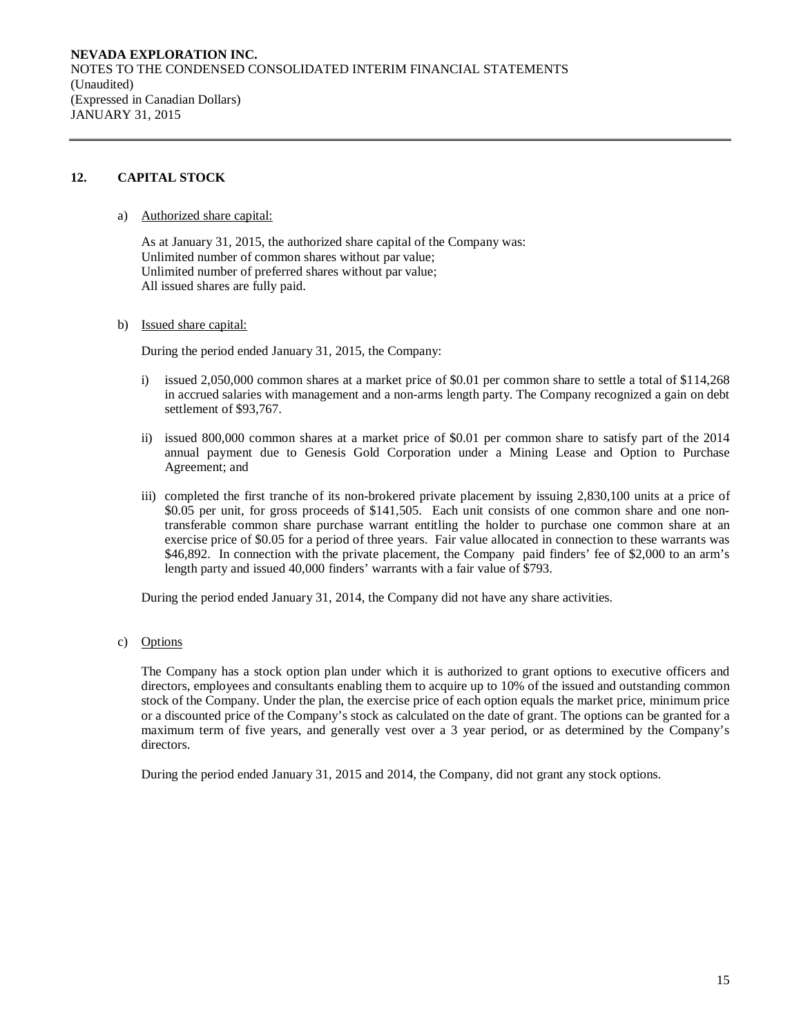# **12. CAPITAL STOCK**

a) Authorized share capital:

As at January 31, 2015, the authorized share capital of the Company was: Unlimited number of common shares without par value; Unlimited number of preferred shares without par value; All issued shares are fully paid.

b) Issued share capital:

During the period ended January 31, 2015, the Company:

- i) issued 2,050,000 common shares at a market price of \$0.01 per common share to settle a total of \$114,268 in accrued salaries with management and a non-arms length party. The Company recognized a gain on debt settlement of \$93,767.
- ii) issued 800,000 common shares at a market price of \$0.01 per common share to satisfy part of the 2014 annual payment due to Genesis Gold Corporation under a Mining Lease and Option to Purchase Agreement; and
- iii) completed the first tranche of its non-brokered private placement by issuing 2,830,100 units at a price of \$0.05 per unit, for gross proceeds of \$141,505. Each unit consists of one common share and one nontransferable common share purchase warrant entitling the holder to purchase one common share at an exercise price of \$0.05 for a period of three years. Fair value allocated in connection to these warrants was \$46,892. In connection with the private placement, the Company paid finders' fee of \$2,000 to an arm's length party and issued 40,000 finders' warrants with a fair value of \$793.

During the period ended January 31, 2014, the Company did not have any share activities.

c) Options

The Company has a stock option plan under which it is authorized to grant options to executive officers and directors, employees and consultants enabling them to acquire up to 10% of the issued and outstanding common stock of the Company. Under the plan, the exercise price of each option equals the market price, minimum price or a discounted price of the Company's stock as calculated on the date of grant. The options can be granted for a maximum term of five years, and generally vest over a 3 year period, or as determined by the Company's directors.

During the period ended January 31, 2015 and 2014, the Company, did not grant any stock options.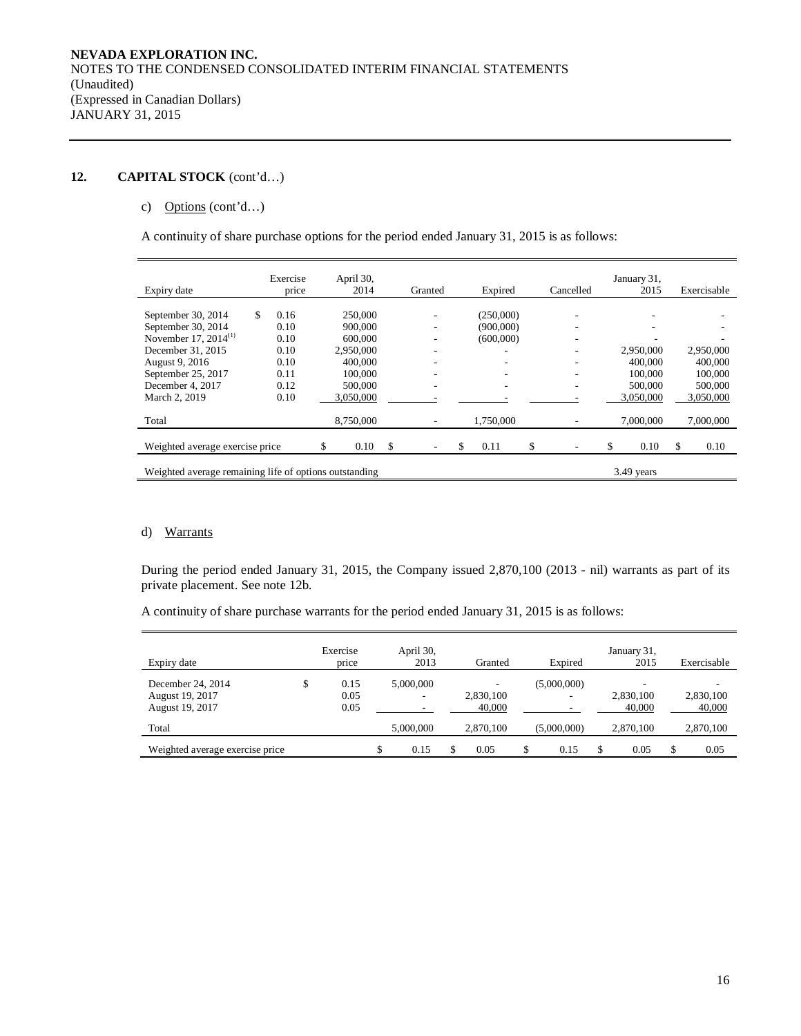# **12. CAPITAL STOCK** (cont'd…)

# c) Options (cont'd…)

A continuity of share purchase options for the period ended January 31, 2015 is as follows:

| Expiry date                                                          |    | Exercise<br>price |    | April 30,<br>2014 |    | Granted |    | Expired   |    | Cancelled | January 31,<br>2015 |    | Exercisable |
|----------------------------------------------------------------------|----|-------------------|----|-------------------|----|---------|----|-----------|----|-----------|---------------------|----|-------------|
|                                                                      |    |                   |    |                   |    |         |    |           |    |           |                     |    |             |
| September 30, 2014                                                   | S. | 0.16              |    | 250,000           |    |         |    | (250,000) |    |           |                     |    |             |
| September 30, 2014                                                   |    | 0.10              |    | 900,000           |    |         |    | (900,000) |    |           |                     |    |             |
| November 17, 2014 <sup>(1)</sup>                                     |    | 0.10              |    | 600,000           |    |         |    | (600.000) |    |           | ۰                   |    |             |
| December 31, 2015                                                    |    | 0.10              |    | 2,950,000         |    | ۰       |    |           |    |           | 2,950,000           |    | 2,950,000   |
| August 9, 2016                                                       |    | 0.10              |    | 400,000           |    |         |    |           |    |           | 400,000             |    | 400,000     |
| September 25, 2017                                                   |    | 0.11              |    | 100,000           |    |         |    |           |    |           | 100,000             |    | 100,000     |
| December 4, 2017                                                     |    | 0.12              |    | 500,000           |    | ٠       |    | ۰         |    |           | 500,000             |    | 500,000     |
| March 2, 2019                                                        |    | 0.10              |    | 3,050,000         |    |         |    |           |    |           | 3,050,000           |    | 3,050,000   |
| Total                                                                |    |                   |    | 8,750,000         |    |         |    | 1,750,000 |    |           | 7,000,000           |    | 7,000,000   |
| Weighted average exercise price                                      |    |                   | \$ | 0.10              | \$ |         | \$ | 0.11      | \$ |           | \$<br>0.10          | \$ | 0.10        |
| Weighted average remaining life of options outstanding<br>3.49 years |    |                   |    |                   |    |         |    |           |    |           |                     |    |             |

### d) Warrants

During the period ended January 31, 2015, the Company issued 2,870,100 (2013 - nil) warrants as part of its private placement. See note 12b.

A continuity of share purchase warrants for the period ended January 31, 2015 is as follows:

| Expiry date                                             | Exercise<br>price          | April 30,<br>2013 | Granted             | Expired     |   | January 31,<br>2015 | Exercisable         |
|---------------------------------------------------------|----------------------------|-------------------|---------------------|-------------|---|---------------------|---------------------|
| December 24, 2014<br>August 19, 2017<br>August 19, 2017 | \$<br>0.15<br>0.05<br>0.05 | 5,000,000<br>۰    | 2,830,100<br>40,000 | (5,000,000) |   | 2,830,100<br>40,000 | 2,830,100<br>40,000 |
| Total                                                   |                            | 5,000,000         | 2,870,100           | (5,000,000) |   | 2,870,100           | 2,870,100           |
| Weighted average exercise price                         |                            | 0.15              | 0.05                | \$<br>0.15  | S | 0.05                | 0.05                |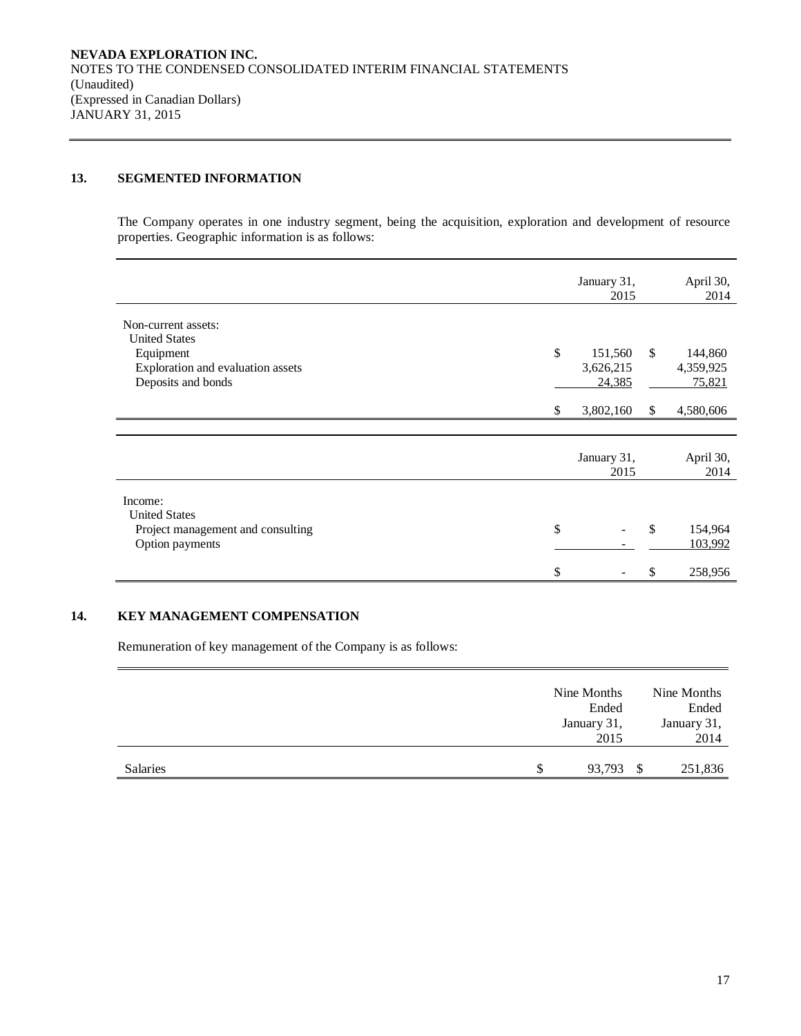# **13. SEGMENTED INFORMATION**

The Company operates in one industry segment, being the acquisition, exploration and development of resource properties. Geographic information is as follows:

|                                                           |    | January 31,<br>2015  |              | April 30,<br>2014    |
|-----------------------------------------------------------|----|----------------------|--------------|----------------------|
| Non-current assets:<br><b>United States</b>               |    |                      |              |                      |
| Equipment<br>Exploration and evaluation assets            | \$ | 151,560<br>3,626,215 | \$           | 144,860<br>4,359,925 |
| Deposits and bonds                                        |    | 24,385               |              | 75,821               |
|                                                           | S. | 3,802,160            | $\mathbb{S}$ | 4,580,606            |
|                                                           |    |                      |              |                      |
|                                                           |    | January 31,<br>2015  |              | April 30,<br>2014    |
| Income:                                                   |    |                      |              |                      |
| <b>United States</b><br>Project management and consulting | \$ |                      | $\mathbb{S}$ | 154,964              |
| Option payments                                           |    |                      |              | 103,992              |
|                                                           | \$ |                      |              | 258,956              |

# **14. KEY MANAGEMENT COMPENSATION**

Remuneration of key management of the Company is as follows:

|          |   | Nine Months |      | Nine Months |
|----------|---|-------------|------|-------------|
|          |   | Ended       |      | Ended       |
|          |   | January 31, |      | January 31, |
|          |   | 2015        |      | 2014        |
|          |   |             |      |             |
| Salaries | S | 93,793      | - \$ | 251,836     |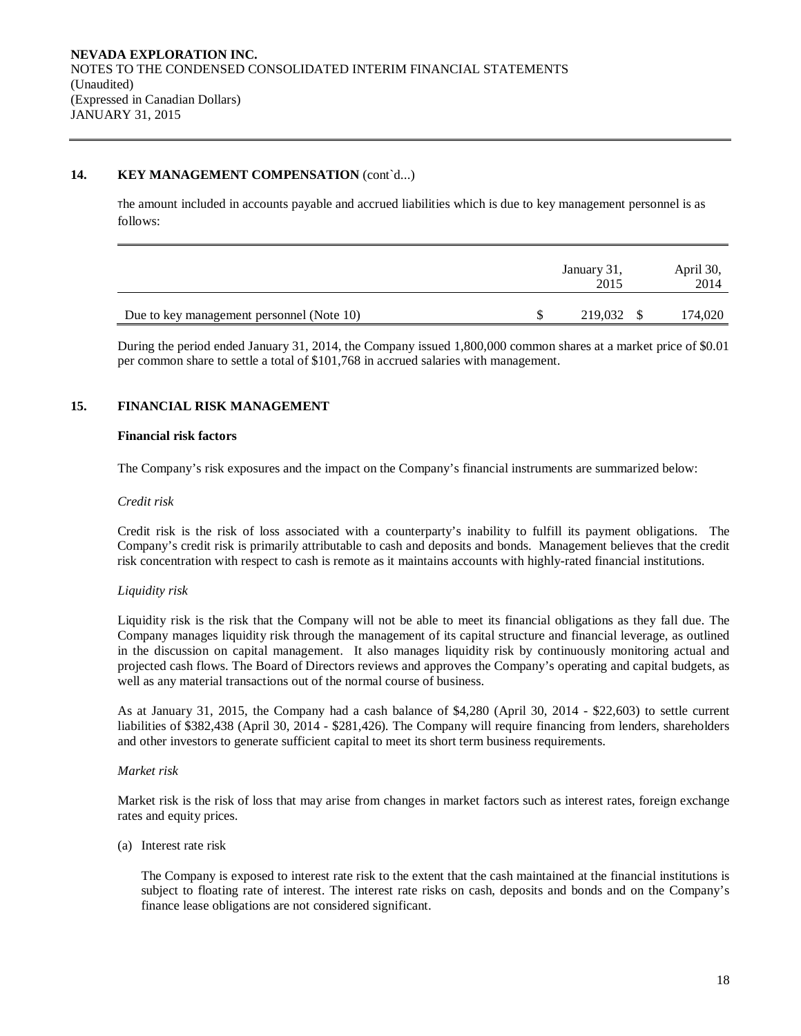### **14. KEY MANAGEMENT COMPENSATION** (cont`d...)

The amount included in accounts payable and accrued liabilities which is due to key management personnel is as follows:

|                                           | January 31,<br>2015 | April 30,<br>2014 |
|-------------------------------------------|---------------------|-------------------|
| Due to key management personnel (Note 10) | 219,032 \$          | 174,020           |

During the period ended January 31, 2014, the Company issued 1,800,000 common shares at a market price of \$0.01 per common share to settle a total of \$101,768 in accrued salaries with management.

# **15. FINANCIAL RISK MANAGEMENT**

#### **Financial risk factors**

The Company's risk exposures and the impact on the Company's financial instruments are summarized below:

#### *Credit risk*

Credit risk is the risk of loss associated with a counterparty's inability to fulfill its payment obligations. The Company's credit risk is primarily attributable to cash and deposits and bonds. Management believes that the credit risk concentration with respect to cash is remote as it maintains accounts with highly-rated financial institutions.

#### *Liquidity risk*

Liquidity risk is the risk that the Company will not be able to meet its financial obligations as they fall due. The Company manages liquidity risk through the management of its capital structure and financial leverage, as outlined in the discussion on capital management. It also manages liquidity risk by continuously monitoring actual and projected cash flows. The Board of Directors reviews and approves the Company's operating and capital budgets, as well as any material transactions out of the normal course of business.

As at January 31, 2015, the Company had a cash balance of \$4,280 (April 30, 2014 - \$22,603) to settle current liabilities of \$382,438 (April 30, 2014 - \$281,426). The Company will require financing from lenders, shareholders and other investors to generate sufficient capital to meet its short term business requirements.

### *Market risk*

Market risk is the risk of loss that may arise from changes in market factors such as interest rates, foreign exchange rates and equity prices.

(a) Interest rate risk

The Company is exposed to interest rate risk to the extent that the cash maintained at the financial institutions is subject to floating rate of interest. The interest rate risks on cash, deposits and bonds and on the Company's finance lease obligations are not considered significant.